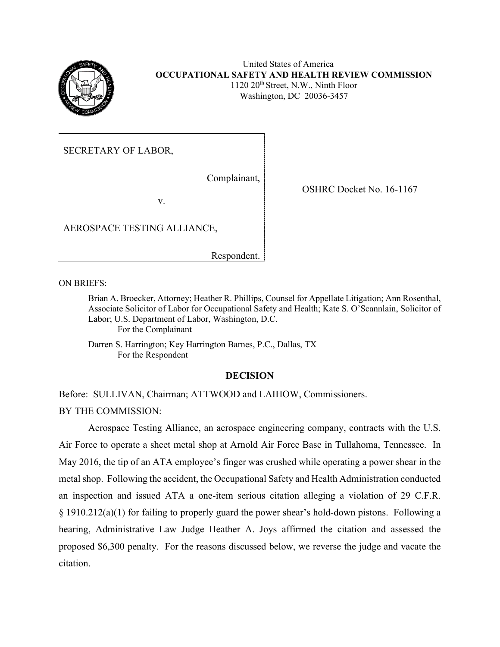

### United States of America **OCCUPATIONAL SAFETY AND HEALTH REVIEW COMMISSION**  $1120 \ 20$ <sup>th</sup> Street, N.W., Ninth Floor Washington, DC 20036-3457

SECRETARY OF LABOR,

Complainant,

v.

AEROSPACE TESTING ALLIANCE,

Respondent.

ON BRIEFS:

Brian A. Broecker, Attorney; Heather R. Phillips, Counsel for Appellate Litigation; Ann Rosenthal, Associate Solicitor of Labor for Occupational Safety and Health; Kate S. O'Scannlain, Solicitor of Labor; U.S. Department of Labor, Washington, D.C. For the Complainant

Darren S. Harrington; Key Harrington Barnes, P.C., Dallas, TX For the Respondent

### **DECISION**

Before: SULLIVAN, Chairman; ATTWOOD and LAIHOW, Commissioners. BY THE COMMISSION:

Aerospace Testing Alliance, an aerospace engineering company, contracts with the U.S. Air Force to operate a sheet metal shop at Arnold Air Force Base in Tullahoma, Tennessee. In May 2016, the tip of an ATA employee's finger was crushed while operating a power shear in the metal shop. Following the accident, the Occupational Safety and Health Administration conducted an inspection and issued ATA a one-item serious citation alleging a violation of 29 C.F.R. § 1910.212(a)(1) for failing to properly guard the power shear's hold-down pistons. Following a hearing, Administrative Law Judge Heather A. Joys affirmed the citation and assessed the proposed \$6,300 penalty. For the reasons discussed below, we reverse the judge and vacate the citation.

OSHRC Docket No. 16-1167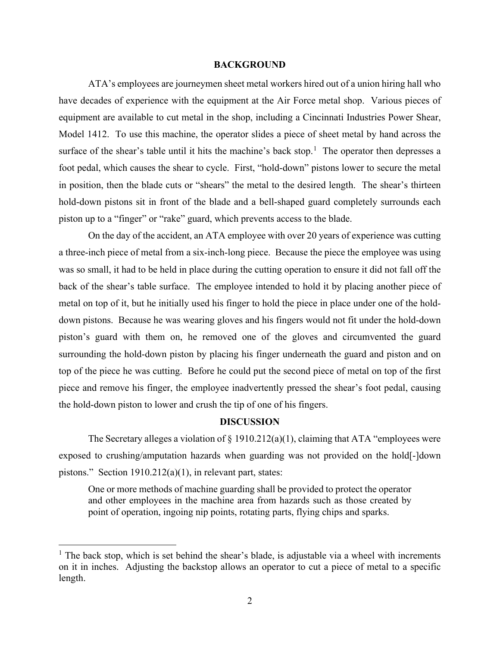#### **BACKGROUND**

ATA's employees are journeymen sheet metal workers hired out of a union hiring hall who have decades of experience with the equipment at the Air Force metal shop. Various pieces of equipment are available to cut metal in the shop, including a Cincinnati Industries Power Shear, Model 1412. To use this machine, the operator slides a piece of sheet metal by hand across the surface of the shear's table until it hits the machine's back stop.<sup>[1](#page-1-0)</sup> The operator then depresses a foot pedal, which causes the shear to cycle. First, "hold-down" pistons lower to secure the metal in position, then the blade cuts or "shears" the metal to the desired length. The shear's thirteen hold-down pistons sit in front of the blade and a bell-shaped guard completely surrounds each piston up to a "finger" or "rake" guard, which prevents access to the blade.

On the day of the accident, an ATA employee with over 20 years of experience was cutting a three-inch piece of metal from a six-inch-long piece. Because the piece the employee was using was so small, it had to be held in place during the cutting operation to ensure it did not fall off the back of the shear's table surface. The employee intended to hold it by placing another piece of metal on top of it, but he initially used his finger to hold the piece in place under one of the holddown pistons. Because he was wearing gloves and his fingers would not fit under the hold-down piston's guard with them on, he removed one of the gloves and circumvented the guard surrounding the hold-down piston by placing his finger underneath the guard and piston and on top of the piece he was cutting. Before he could put the second piece of metal on top of the first piece and remove his finger, the employee inadvertently pressed the shear's foot pedal, causing the hold-down piston to lower and crush the tip of one of his fingers.

### **DISCUSSION**

The Secretary alleges a violation of  $\S$  1910.212(a)(1), claiming that ATA "employees were exposed to crushing/amputation hazards when guarding was not provided on the hold[-]down pistons." Section 1910.212(a)(1), in relevant part, states:

One or more methods of machine guarding shall be provided to protect the operator and other employees in the machine area from hazards such as those created by point of operation, ingoing nip points, rotating parts, flying chips and sparks.

<span id="page-1-0"></span> $<sup>1</sup>$  The back stop, which is set behind the shear's blade, is adjustable via a wheel with increments</sup> on it in inches. Adjusting the backstop allows an operator to cut a piece of metal to a specific length.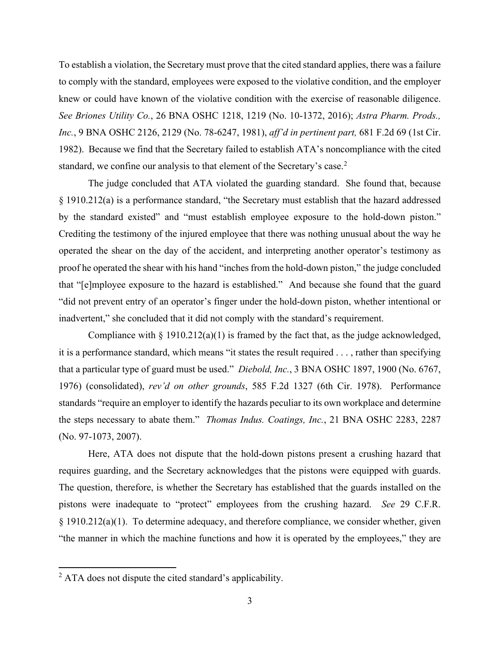To establish a violation, the Secretary must prove that the cited standard applies, there was a failure to comply with the standard, employees were exposed to the violative condition, and the employer knew or could have known of the violative condition with the exercise of reasonable diligence. *See Briones Utility Co.*, 26 BNA OSHC 1218, 1219 (No. 10-1372, 2016); *Astra Pharm. Prods., Inc.*, 9 BNA OSHC 2126, 2129 (No. 78-6247, 1981), *aff'd in pertinent part,* 681 F.2d 69 (1st Cir. 1982). Because we find that the Secretary failed to establish ATA's noncompliance with the cited standard, we confine our analysis to that element of the Secretary's case.<sup>[2](#page-2-0)</sup>

The judge concluded that ATA violated the guarding standard. She found that, because § 1910.212(a) is a performance standard, "the Secretary must establish that the hazard addressed by the standard existed" and "must establish employee exposure to the hold-down piston." Crediting the testimony of the injured employee that there was nothing unusual about the way he operated the shear on the day of the accident, and interpreting another operator's testimony as proof he operated the shear with his hand "inches from the hold-down piston," the judge concluded that "[e]mployee exposure to the hazard is established." And because she found that the guard "did not prevent entry of an operator's finger under the hold-down piston, whether intentional or inadvertent," she concluded that it did not comply with the standard's requirement.

Compliance with  $\S 1910.212(a)(1)$  is framed by the fact that, as the judge acknowledged, it is a performance standard, which means "it states the result required . . . , rather than specifying that a particular type of guard must be used." *Diebold, Inc.*, 3 BNA OSHC 1897, 1900 (No. 6767, 1976) (consolidated), *rev'd on other grounds*, 585 F.2d 1327 (6th Cir. 1978). Performance standards "require an employer to identify the hazards peculiar to its own workplace and determine the steps necessary to abate them." *Thomas Indus. Coatings, Inc.*, 21 BNA OSHC 2283, 2287 (No. 97-1073, 2007).

Here, ATA does not dispute that the hold-down pistons present a crushing hazard that requires guarding, and the Secretary acknowledges that the pistons were equipped with guards. The question, therefore, is whether the Secretary has established that the guards installed on the pistons were inadequate to "protect" employees from the crushing hazard. *See* 29 C.F.R. § 1910.212(a)(1). To determine adequacy, and therefore compliance, we consider whether, given "the manner in which the machine functions and how it is operated by the employees," they are

<span id="page-2-0"></span> $<sup>2</sup>$  ATA does not dispute the cited standard's applicability.</sup>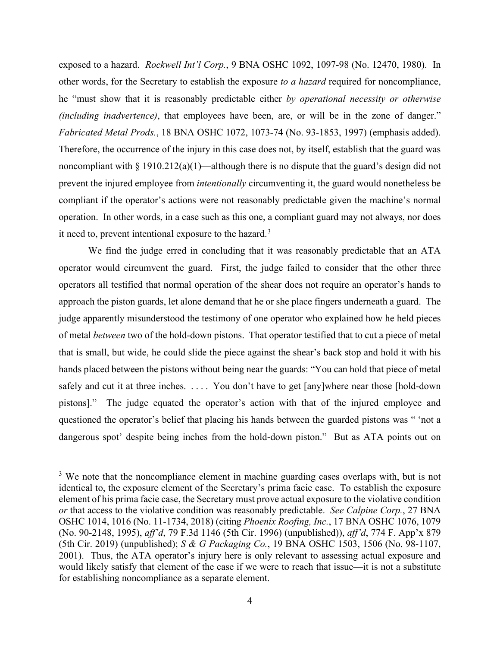exposed to a hazard. *Rockwell Int'l Corp.*, 9 BNA OSHC 1092, 1097-98 (No. 12470, 1980).In other words, for the Secretary to establish the exposure *to a hazard* required for noncompliance, he "must show that it is reasonably predictable either *by operational necessity or otherwise (including inadvertence)*, that employees have been, are, or will be in the zone of danger." *Fabricated Metal Prods.*, 18 BNA OSHC 1072, 1073-74 (No. 93-1853, 1997) (emphasis added). Therefore, the occurrence of the injury in this case does not, by itself, establish that the guard was noncompliant with  $\S 1910.212(a)(1)$ —although there is no dispute that the guard's design did not prevent the injured employee from *intentionally* circumventing it, the guard would nonetheless be compliant if the operator's actions were not reasonably predictable given the machine's normal operation. In other words, in a case such as this one, a compliant guard may not always, nor does it need to, prevent intentional exposure to the hazard.<sup>[3](#page-3-0)</sup>

We find the judge erred in concluding that it was reasonably predictable that an ATA operator would circumvent the guard. First, the judge failed to consider that the other three operators all testified that normal operation of the shear does not require an operator's hands to approach the piston guards, let alone demand that he or she place fingers underneath a guard. The judge apparently misunderstood the testimony of one operator who explained how he held pieces of metal *between* two of the hold-down pistons. That operator testified that to cut a piece of metal that is small, but wide, he could slide the piece against the shear's back stop and hold it with his hands placed between the pistons without being near the guards: "You can hold that piece of metal safely and cut it at three inches. . . . . You don't have to get [any]where near those [hold-down pistons]." The judge equated the operator's action with that of the injured employee and questioned the operator's belief that placing his hands between the guarded pistons was " 'not a dangerous spot' despite being inches from the hold-down piston." But as ATA points out on

<span id="page-3-0"></span> $3$  We note that the noncompliance element in machine guarding cases overlaps with, but is not identical to, the exposure element of the Secretary's prima facie case. To establish the exposure element of his prima facie case, the Secretary must prove actual exposure to the violative condition *or* that access to the violative condition was reasonably predictable. *See Calpine Corp.*, 27 BNA OSHC 1014, 1016 (No. 11-1734, 2018) (citing *Phoenix Roofing, Inc.*, 17 BNA OSHC 1076, 1079 (No. 90-2148, 1995), *aff'd*, 79 F.3d 1146 (5th Cir. 1996) (unpublished)), *aff'd*, 774 F. App'x 879 (5th Cir. 2019) (unpublished); *S & G Packaging Co.*, 19 BNA OSHC 1503, 1506 (No. 98-1107, 2001). Thus, the ATA operator's injury here is only relevant to assessing actual exposure and would likely satisfy that element of the case if we were to reach that issue—it is not a substitute for establishing noncompliance as a separate element.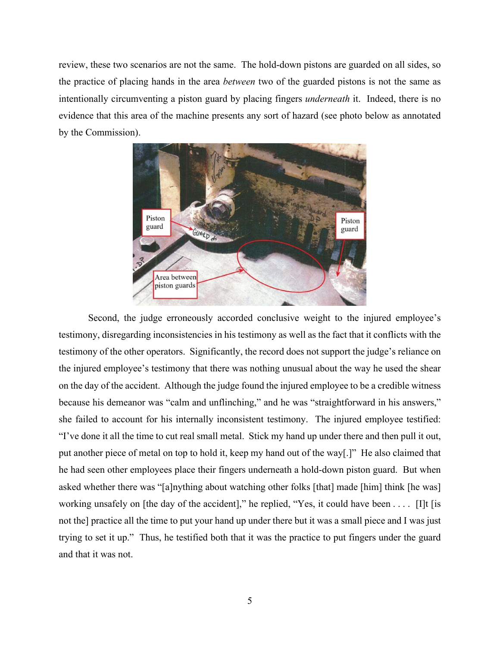review, these two scenarios are not the same. The hold-down pistons are guarded on all sides, so the practice of placing hands in the area *between* two of the guarded pistons is not the same as intentionally circumventing a piston guard by placing fingers *underneath* it. Indeed, there is no evidence that this area of the machine presents any sort of hazard (see photo below as annotated by the Commission).



Second, the judge erroneously accorded conclusive weight to the injured employee's testimony, disregarding inconsistencies in his testimony as well as the fact that it conflicts with the testimony of the other operators. Significantly, the record does not support the judge's reliance on the injured employee's testimony that there was nothing unusual about the way he used the shear on the day of the accident. Although the judge found the injured employee to be a credible witness because his demeanor was "calm and unflinching," and he was "straightforward in his answers," she failed to account for his internally inconsistent testimony. The injured employee testified: "I've done it all the time to cut real small metal. Stick my hand up under there and then pull it out, put another piece of metal on top to hold it, keep my hand out of the way[.]" He also claimed that he had seen other employees place their fingers underneath a hold-down piston guard. But when asked whether there was "[a]nything about watching other folks [that] made [him] think [he was] working unsafely on [the day of the accident]," he replied, "Yes, it could have been  $\dots$  [I]t [is not the] practice all the time to put your hand up under there but it was a small piece and I was just trying to set it up." Thus, he testified both that it was the practice to put fingers under the guard and that it was not.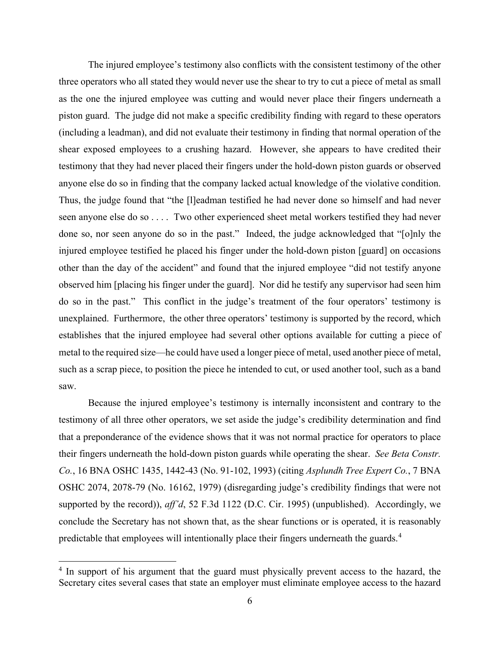The injured employee's testimony also conflicts with the consistent testimony of the other three operators who all stated they would never use the shear to try to cut a piece of metal as small as the one the injured employee was cutting and would never place their fingers underneath a piston guard. The judge did not make a specific credibility finding with regard to these operators (including a leadman), and did not evaluate their testimony in finding that normal operation of the shear exposed employees to a crushing hazard. However, she appears to have credited their testimony that they had never placed their fingers under the hold-down piston guards or observed anyone else do so in finding that the company lacked actual knowledge of the violative condition. Thus, the judge found that "the [l]eadman testified he had never done so himself and had never seen anyone else do so . . . . Two other experienced sheet metal workers testified they had never done so, nor seen anyone do so in the past." Indeed, the judge acknowledged that "[o]nly the injured employee testified he placed his finger under the hold-down piston [guard] on occasions other than the day of the accident" and found that the injured employee "did not testify anyone observed him [placing his finger under the guard]. Nor did he testify any supervisor had seen him do so in the past." This conflict in the judge's treatment of the four operators' testimony is unexplained. Furthermore, the other three operators' testimony is supported by the record, which establishes that the injured employee had several other options available for cutting a piece of metal to the required size—he could have used a longer piece of metal, used another piece of metal, such as a scrap piece, to position the piece he intended to cut, or used another tool, such as a band saw.

Because the injured employee's testimony is internally inconsistent and contrary to the testimony of all three other operators, we set aside the judge's credibility determination and find that a preponderance of the evidence shows that it was not normal practice for operators to place their fingers underneath the hold-down piston guards while operating the shear. *See Beta Constr. Co.*, 16 BNA OSHC 1435, 1442-43 (No. 91-102, 1993) (citing *Asplundh Tree Expert Co.*, 7 BNA OSHC 2074, 2078-79 (No. 16162, 1979) (disregarding judge's credibility findings that were not supported by the record)), *aff'd*, 52 F.3d 1122 (D.C. Cir. 1995) (unpublished). Accordingly, we conclude the Secretary has not shown that, as the shear functions or is operated, it is reasonably predictable that employees will intentionally place their fingers underneath the guards.<sup>[4](#page-5-0)</sup>

<span id="page-5-0"></span><sup>&</sup>lt;sup>4</sup> In support of his argument that the guard must physically prevent access to the hazard, the Secretary cites several cases that state an employer must eliminate employee access to the hazard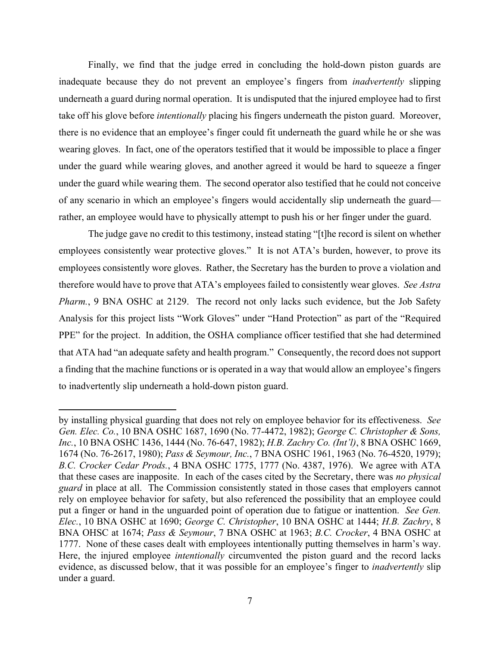Finally, we find that the judge erred in concluding the hold-down piston guards are inadequate because they do not prevent an employee's fingers from *inadvertently* slipping underneath a guard during normal operation. It is undisputed that the injured employee had to first take off his glove before *intentionally* placing his fingers underneath the piston guard. Moreover, there is no evidence that an employee's finger could fit underneath the guard while he or she was wearing gloves. In fact, one of the operators testified that it would be impossible to place a finger under the guard while wearing gloves, and another agreed it would be hard to squeeze a finger under the guard while wearing them. The second operator also testified that he could not conceive of any scenario in which an employee's fingers would accidentally slip underneath the guard rather, an employee would have to physically attempt to push his or her finger under the guard.

The judge gave no credit to this testimony, instead stating "[t]he record is silent on whether employees consistently wear protective gloves." It is not ATA's burden, however, to prove its employees consistently wore gloves. Rather, the Secretary has the burden to prove a violation and therefore would have to prove that ATA's employees failed to consistently wear gloves. *See Astra Pharm.*, 9 BNA OSHC at 2129. The record not only lacks such evidence, but the Job Safety Analysis for this project lists "Work Gloves" under "Hand Protection" as part of the "Required PPE" for the project. In addition, the OSHA compliance officer testified that she had determined that ATA had "an adequate safety and health program." Consequently, the record does not support a finding that the machine functions or is operated in a way that would allow an employee's fingers to inadvertently slip underneath a hold-down piston guard.

by installing physical guarding that does not rely on employee behavior for its effectiveness. *See Gen. Elec. Co.*, 10 BNA OSHC 1687, 1690 (No. 77-4472, 1982); *George C. Christopher & Sons, Inc.*, 10 BNA OSHC 1436, 1444 (No. 76-647, 1982); *H.B. Zachry Co. (Int'l)*, 8 BNA OSHC 1669, 1674 (No. 76-2617, 1980); *Pass & Seymour, Inc.*, 7 BNA OSHC 1961, 1963 (No. 76-4520, 1979); *B.C. Crocker Cedar Prods.*, 4 BNA OSHC 1775, 1777 (No. 4387, 1976). We agree with ATA that these cases are inapposite. In each of the cases cited by the Secretary, there was *no physical guard* in place at all. The Commission consistently stated in those cases that employers cannot rely on employee behavior for safety, but also referenced the possibility that an employee could put a finger or hand in the unguarded point of operation due to fatigue or inattention. *See Gen. Elec.*, 10 BNA OSHC at 1690; *George C. Christopher*, 10 BNA OSHC at 1444; *H.B. Zachry*, 8 BNA OHSC at 1674; *Pass & Seymour*, 7 BNA OSHC at 1963; *B.C. Crocker*, 4 BNA OSHC at 1777. None of these cases dealt with employees intentionally putting themselves in harm's way. Here, the injured employee *intentionally* circumvented the piston guard and the record lacks evidence, as discussed below, that it was possible for an employee's finger to *inadvertently* slip under a guard.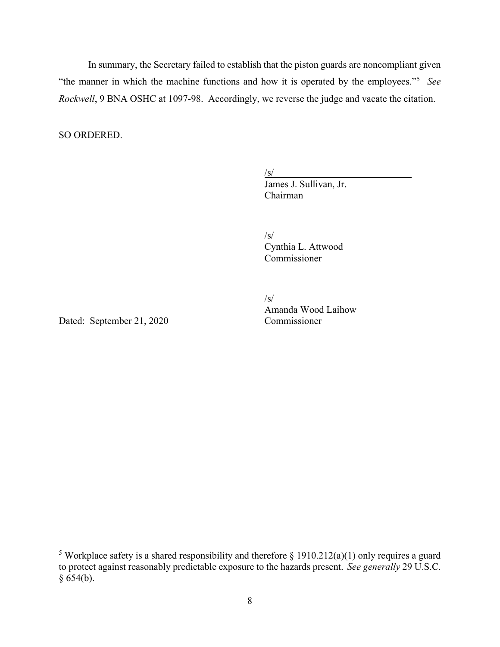In summary, the Secretary failed to establish that the piston guards are noncompliant given "the manner in which the machine functions and how it is operated by the employees."[5](#page-7-0) *See Rockwell*, 9 BNA OSHC at 1097-98. Accordingly, we reverse the judge and vacate the citation.

SO ORDERED.

 $\sqrt{s/2}$ 

James J. Sullivan, Jr. Chairman

 $\sqrt{s/2}$ 

Cynthia L. Attwood Commissioner

 $\sqrt{s/2}$ 

Dated: September 21, 2020 Commissioner

Amanda Wood Laihow

<span id="page-7-0"></span><sup>&</sup>lt;sup>5</sup> Workplace safety is a shared responsibility and therefore  $\S$  1910.212(a)(1) only requires a guard to protect against reasonably predictable exposure to the hazards present. *See generally* 29 U.S.C.  $§ 654(b).$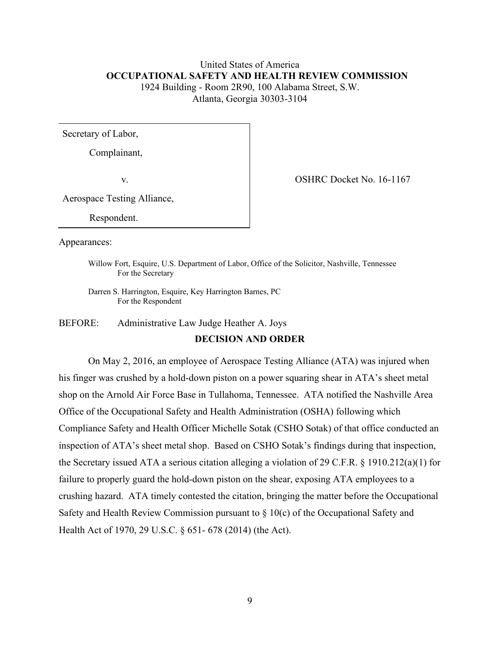# United States of America  **OCCUPATIONAL SAFETY AND HEALTH REVIEW COMMISSION** 1924 Building - Room 2R90, 100 Alabama Street, S.W. Atlanta, Georgia 30303-3104

Secretary of Labor,

Complainant,

v. COSHRC Docket No. 16-1167

Aerospace Testing Alliance,

Respondent.

Appearances:

Willow Fort, Esquire, U.S. Department of Labor, Office of the Solicitor, Nashville, Tennessee For the Secretary

Darren S. Harrington, Esquire, Key Harrington Barnes, PC For the Respondent

BEFORE: Administrative Law Judge Heather A. Joys

#### **DECISION AND ORDER**

On May 2, 2016, an employee of Aerospace Testing Alliance (ATA) was injured when his finger was crushed by a hold-down piston on a power squaring shear in ATA's sheet metal shop on the Arnold Air Force Base in Tullahoma, Tennessee. ATA notified the Nashville Area Office of the Occupational Safety and Health Administration (OSHA) following which Compliance Safety and Health Officer Michelle Sotak (CSHO Sotak) of that office conducted an inspection of ATA's sheet metal shop. Based on CSHO Sotak's findings during that inspection, the Secretary issued ATA a serious citation alleging a violation of 29 C.F.R. § 1910.212(a)(1) for failure to properly guard the hold-down piston on the shear, exposing ATA employees to a crushing hazard. ATA timely contested the citation, bringing the matter before the Occupational Safety and Health Review Commission pursuant to  $\S$  10(c) of the Occupational Safety and Health Act of 1970, 29 U.S.C. § 651- 678 (2014) (the Act).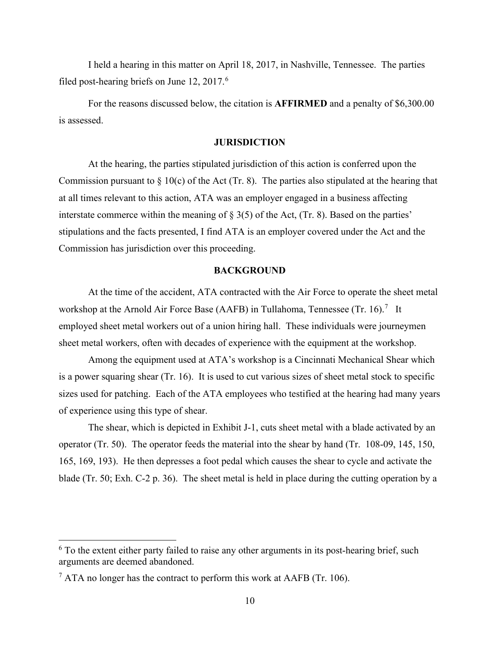I held a hearing in this matter on April 18, 2017, in Nashville, Tennessee. The parties filed post-hearing briefs on June  $12, 2017$ .<sup>[6](#page-9-0)</sup>

 For the reasons discussed below, the citation is **AFFIRMED** and a penalty of \$6,300.00 is assessed.

## **JURISDICTION**

At the hearing, the parties stipulated jurisdiction of this action is conferred upon the Commission pursuant to  $\S 10(c)$  of the Act (Tr. 8). The parties also stipulated at the hearing that at all times relevant to this action, ATA was an employer engaged in a business affecting interstate commerce within the meaning of § 3(5) of the Act, (Tr. 8). Based on the parties' stipulations and the facts presented, I find ATA is an employer covered under the Act and the Commission has jurisdiction over this proceeding.

## **BACKGROUND**

At the time of the accident, ATA contracted with the Air Force to operate the sheet metal workshop at the Arnold Air Force Base (AAFB) in Tullahoma, Tennessee (Tr. 16).<sup>[7](#page-9-1)</sup> It employed sheet metal workers out of a union hiring hall. These individuals were journeymen sheet metal workers, often with decades of experience with the equipment at the workshop.

 Among the equipment used at ATA's workshop is a Cincinnati Mechanical Shear which is a power squaring shear (Tr. 16). It is used to cut various sizes of sheet metal stock to specific sizes used for patching. Each of the ATA employees who testified at the hearing had many years of experience using this type of shear.

The shear, which is depicted in Exhibit J-1, cuts sheet metal with a blade activated by an operator (Tr. 50). The operator feeds the material into the shear by hand (Tr. 108-09, 145, 150, 165, 169, 193). He then depresses a foot pedal which causes the shear to cycle and activate the blade (Tr. 50; Exh. C-2 p. 36). The sheet metal is held in place during the cutting operation by a

<span id="page-9-0"></span> $6$  To the extent either party failed to raise any other arguments in its post-hearing brief, such arguments are deemed abandoned.

<span id="page-9-1"></span> $^7$  ATA no longer has the contract to perform this work at AAFB (Tr. 106).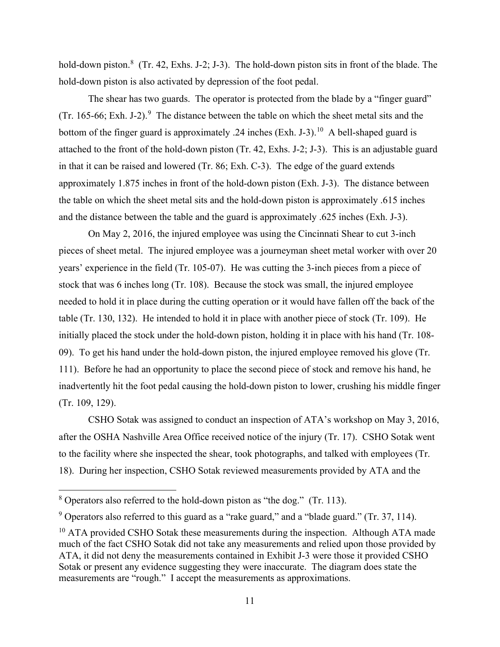hold-down piston.<sup>[8](#page-10-0)</sup> (Tr. 42, Exhs. J-2; J-3). The hold-down piston sits in front of the blade. The hold-down piston is also activated by depression of the foot pedal.

The shear has two guards. The operator is protected from the blade by a "finger guard" (Tr. 165-66; Exh. J-2).<sup>[9](#page-10-1)</sup> The distance between the table on which the sheet metal sits and the bottom of the finger guard is approximately .24 inches (Exh. J-3).<sup>[10](#page-10-2)</sup> A bell-shaped guard is attached to the front of the hold-down piston (Tr. 42, Exhs. J-2; J-3). This is an adjustable guard in that it can be raised and lowered (Tr. 86; Exh. C-3). The edge of the guard extends approximately 1.875 inches in front of the hold-down piston (Exh. J-3). The distance between the table on which the sheet metal sits and the hold-down piston is approximately .615 inches and the distance between the table and the guard is approximately .625 inches (Exh. J-3).

On May 2, 2016, the injured employee was using the Cincinnati Shear to cut 3-inch pieces of sheet metal. The injured employee was a journeyman sheet metal worker with over 20 years' experience in the field (Tr. 105-07). He was cutting the 3-inch pieces from a piece of stock that was 6 inches long (Tr. 108). Because the stock was small, the injured employee needed to hold it in place during the cutting operation or it would have fallen off the back of the table (Tr. 130, 132). He intended to hold it in place with another piece of stock (Tr. 109). He initially placed the stock under the hold-down piston, holding it in place with his hand (Tr. 108- 09). To get his hand under the hold-down piston, the injured employee removed his glove (Tr. 111). Before he had an opportunity to place the second piece of stock and remove his hand, he inadvertently hit the foot pedal causing the hold-down piston to lower, crushing his middle finger (Tr. 109, 129).

 CSHO Sotak was assigned to conduct an inspection of ATA's workshop on May 3, 2016, after the OSHA Nashville Area Office received notice of the injury (Tr. 17). CSHO Sotak went to the facility where she inspected the shear, took photographs, and talked with employees (Tr. 18). During her inspection, CSHO Sotak reviewed measurements provided by ATA and the

<span id="page-10-0"></span><sup>8</sup> Operators also referred to the hold-down piston as "the dog." (Tr. 113).

<span id="page-10-1"></span> $9$  Operators also referred to this guard as a "rake guard," and a "blade guard." (Tr. 37, 114).

<span id="page-10-2"></span> $10$  ATA provided CSHO Sotak these measurements during the inspection. Although ATA made much of the fact CSHO Sotak did not take any measurements and relied upon those provided by ATA, it did not deny the measurements contained in Exhibit J-3 were those it provided CSHO Sotak or present any evidence suggesting they were inaccurate. The diagram does state the measurements are "rough." I accept the measurements as approximations.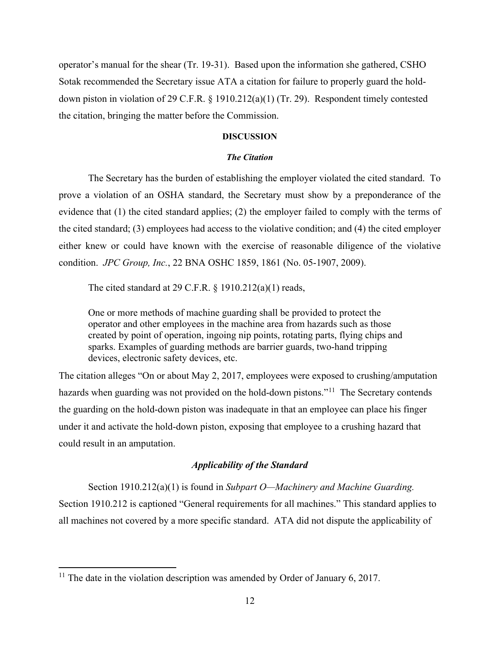operator's manual for the shear (Tr. 19-31). Based upon the information she gathered, CSHO Sotak recommended the Secretary issue ATA a citation for failure to properly guard the holddown piston in violation of 29 C.F.R. § 1910.212(a)(1) (Tr. 29). Respondent timely contested the citation, bringing the matter before the Commission.

#### **DISCUSSION**

#### *The Citation*

The Secretary has the burden of establishing the employer violated the cited standard. To prove a violation of an OSHA standard, the Secretary must show by a preponderance of the evidence that (1) the cited standard applies; (2) the employer failed to comply with the terms of the cited standard; (3) employees had access to the violative condition; and (4) the cited employer either knew or could have known with the exercise of reasonable diligence of the violative condition. *JPC Group, Inc.*, 22 BNA OSHC 1859, 1861 (No. 05-1907, 2009).

The cited standard at 29 C.F.R.  $\S$  1910.212(a)(1) reads,

One or more methods of machine guarding shall be provided to protect the operator and other employees in the machine area from hazards such as those created by point of operation, ingoing nip points, rotating parts, flying chips and sparks. Examples of guarding methods are barrier guards, two-hand tripping devices, electronic safety devices, etc.

The citation alleges "On or about May 2, 2017, employees were exposed to crushing/amputation hazards when guarding was not provided on the hold-down pistons."<sup>11</sup> The Secretary contends the guarding on the hold-down piston was inadequate in that an employee can place his finger under it and activate the hold-down piston, exposing that employee to a crushing hazard that could result in an amputation.

## *Applicability of the Standard*

 Section 1910.212(a)(1) is found in *Subpart O—Machinery and Machine Guarding.*  Section 1910.212 is captioned "General requirements for all machines." This standard applies to all machines not covered by a more specific standard. ATA did not dispute the applicability of

<span id="page-11-0"></span><sup>&</sup>lt;sup>11</sup> The date in the violation description was amended by Order of January 6, 2017.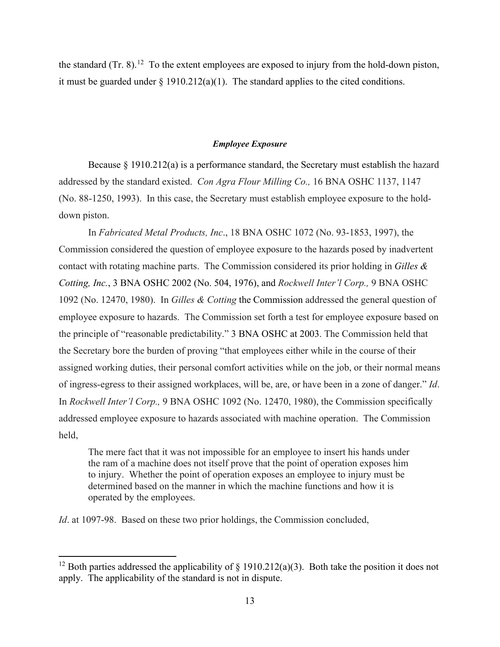the standard  $(Tr. 8)$ .<sup>[12](#page-12-0)</sup> To the extent employees are exposed to injury from the hold-down piston, it must be guarded under  $\S 1910.212(a)(1)$ . The standard applies to the cited conditions.

### *Employee Exposure*

Because § 1910.212(a) is a performance standard, the Secretary must establish the hazard addressed by the standard existed. *Con Agra Flour Milling Co.,* 16 BNA OSHC 1137, 1147 (No. 88-1250, 1993). In this case, the Secretary must establish employee exposure to the holddown piston.

In *Fabricated Metal Products, Inc*., 18 BNA OSHC 1072 (No. 93-1853, 1997), the Commission considered the question of employee exposure to the hazards posed by inadvertent contact with rotating machine parts. The Commission considered its prior holding in *[Gilles &](https://a.next.westlaw.com/Link/Document/FullText?findType=Y&serNum=1976160848&pubNum=0003227&originatingDoc=I516ba56887d911e5a807ad48145ed9f1&refType=CA&originationContext=document&transitionType=DocumentItem&contextData=(sc.Search))  Cotting, Inc.*[, 3 BNA OSHC 2002 \(No. 504, 1976\),](https://a.next.westlaw.com/Link/Document/FullText?findType=Y&serNum=1976160848&pubNum=0003227&originatingDoc=I516ba56887d911e5a807ad48145ed9f1&refType=CA&originationContext=document&transitionType=DocumentItem&contextData=(sc.Search)) and *Rockwell Inter'l Corp.,* 9 BNA OSHC 1092 (No. 12470, 1980). In *Gilles & Cotting* the Commission addressed the general question of employee exposure to hazards. The Commission set forth a test for employee exposure based on the principle of "reasonable predictability." [3 BNA OSHC at 2003.](https://a.next.westlaw.com/Link/Document/FullText?findType=Y&serNum=1976160848&pubNum=0003227&originatingDoc=I516ba56887d911e5a807ad48145ed9f1&refType=CA&fi=co_pp_sp_3227_2003&originationContext=document&transitionType=DocumentItem&contextData=(sc.Search)#co_pp_sp_3227_2003) The Commission held that the Secretary bore the burden of proving "that employees either while in the course of their assigned working duties, their personal comfort activities while on the job, or their normal means of ingress-egress to their assigned workplaces, will be, are, or have been in a zone of danger." *Id*. In *Rockwell Inter'l Corp.,* 9 BNA OSHC 1092 (No. 12470, 1980), the Commission specifically addressed employee exposure to hazards associated with machine operation. The Commission held,

The mere fact that it was not impossible for an employee to insert his hands under the ram of a machine does not itself prove that the point of operation exposes him to injury. Whether the point of operation exposes an employee to injury must be determined based on the manner in which the machine functions and how it is operated by the employees.

*Id*. at 1097-98. Based on these two prior holdings, the Commission concluded,

<span id="page-12-0"></span><sup>&</sup>lt;sup>12</sup> Both parties addressed the applicability of  $\S$  1910.212(a)(3). Both take the position it does not apply. The applicability of the standard is not in dispute.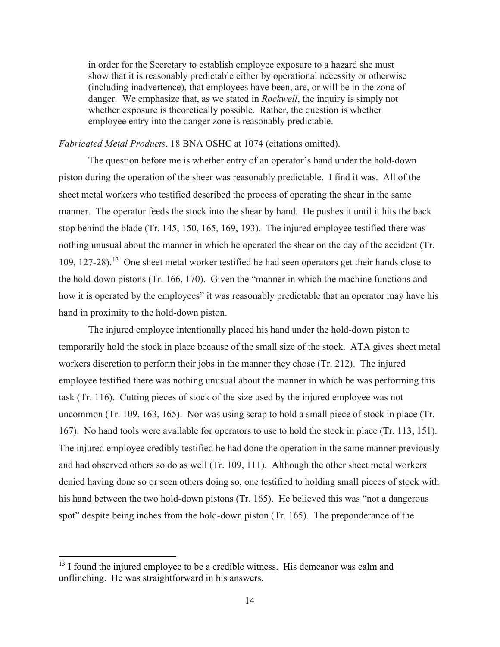in order for the Secretary to establish employee exposure to a hazard she must show that it is reasonably predictable either by operational necessity or otherwise (including inadvertence), that employees have been, are, or will be in the zone of danger. We emphasize that, as we stated in *Rockwell*, the inquiry is simply not whether exposure is theoretically possible. Rather, the question is whether employee entry into the danger zone is reasonably predictable.

## *Fabricated Metal Products*, 18 BNA OSHC at 1074 (citations omitted).

The question before me is whether entry of an operator's hand under the hold-down piston during the operation of the sheer was reasonably predictable. I find it was. All of the sheet metal workers who testified described the process of operating the shear in the same manner. The operator feeds the stock into the shear by hand. He pushes it until it hits the back stop behind the blade (Tr. 145, 150, 165, 169, 193). The injured employee testified there was nothing unusual about the manner in which he operated the shear on the day of the accident (Tr. 109, 127-28).[13](#page-13-0) One sheet metal worker testified he had seen operators get their hands close to the hold-down pistons (Tr. 166, 170). Given the "manner in which the machine functions and how it is operated by the employees" it was reasonably predictable that an operator may have his hand in proximity to the hold-down piston.

 The injured employee intentionally placed his hand under the hold-down piston to temporarily hold the stock in place because of the small size of the stock. ATA gives sheet metal workers discretion to perform their jobs in the manner they chose (Tr. 212). The injured employee testified there was nothing unusual about the manner in which he was performing this task (Tr. 116). Cutting pieces of stock of the size used by the injured employee was not uncommon (Tr. 109, 163, 165). Nor was using scrap to hold a small piece of stock in place (Tr. 167). No hand tools were available for operators to use to hold the stock in place (Tr. 113, 151). The injured employee credibly testified he had done the operation in the same manner previously and had observed others so do as well (Tr. 109, 111). Although the other sheet metal workers denied having done so or seen others doing so, one testified to holding small pieces of stock with his hand between the two hold-down pistons (Tr. 165). He believed this was "not a dangerous spot" despite being inches from the hold-down piston (Tr. 165). The preponderance of the

<span id="page-13-0"></span> $13$  I found the injured employee to be a credible witness. His demeanor was calm and unflinching. He was straightforward in his answers.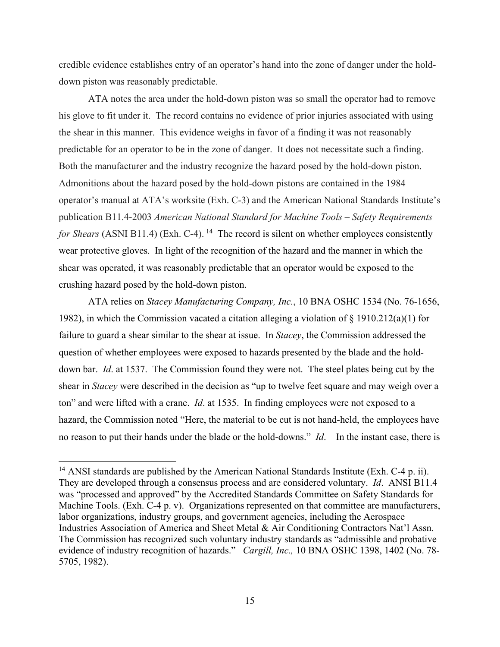credible evidence establishes entry of an operator's hand into the zone of danger under the holddown piston was reasonably predictable.

 ATA notes the area under the hold-down piston was so small the operator had to remove his glove to fit under it. The record contains no evidence of prior injuries associated with using the shear in this manner. This evidence weighs in favor of a finding it was not reasonably predictable for an operator to be in the zone of danger. It does not necessitate such a finding. Both the manufacturer and the industry recognize the hazard posed by the hold-down piston. Admonitions about the hazard posed by the hold-down pistons are contained in the 1984 operator's manual at ATA's worksite (Exh. C-3) and the American National Standards Institute's publication B11.4-2003 *American National Standard for Machine Tools – Safety Requirements for Shears* (ASNI B11.4) (Exh. C-4). <sup>14</sup> The record is silent on whether employees consistently wear protective gloves. In light of the recognition of the hazard and the manner in which the shear was operated, it was reasonably predictable that an operator would be exposed to the crushing hazard posed by the hold-down piston.

ATA relies on *Stacey Manufacturing Company, Inc.*, 10 BNA OSHC 1534 (No. 76-1656, 1982), in which the Commission vacated a citation alleging a violation of § 1910.212(a)(1) for failure to guard a shear similar to the shear at issue. In *Stacey*, the Commission addressed the question of whether employees were exposed to hazards presented by the blade and the holddown bar. *Id*. at 1537. The Commission found they were not. The steel plates being cut by the shear in *Stacey* were described in the decision as "up to twelve feet square and may weigh over a ton" and were lifted with a crane. *Id*. at 1535. In finding employees were not exposed to a hazard, the Commission noted "Here, the material to be cut is not hand-held, the employees have no reason to put their hands under the blade or the hold-downs." *Id*. In the instant case, there is

<span id="page-14-0"></span><sup>&</sup>lt;sup>14</sup> ANSI standards are published by the American National Standards Institute (Exh. C-4 p. ii). They are developed through a consensus process and are considered voluntary. *Id*. ANSI B11.4 was "processed and approved" by the Accredited Standards Committee on Safety Standards for Machine Tools. (Exh. C-4 p. v). Organizations represented on that committee are manufacturers, labor organizations, industry groups, and government agencies, including the Aerospace Industries Association of America and Sheet Metal & Air Conditioning Contractors Nat'l Assn. The Commission has recognized such voluntary industry standards as "admissible and probative evidence of industry recognition of hazards." *Cargill, Inc.,* 10 BNA OSHC 1398, 1402 (No. 78- 5705, 1982).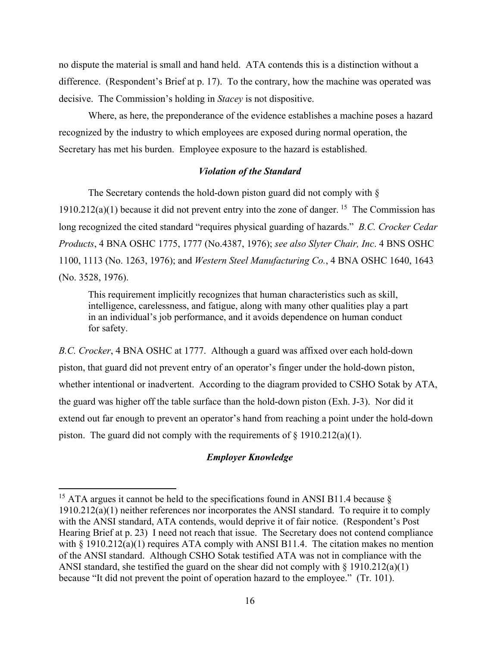no dispute the material is small and hand held. ATA contends this is a distinction without a difference. (Respondent's Brief at p. 17). To the contrary, how the machine was operated was decisive. The Commission's holding in *Stacey* is not dispositive.

Where, as here, the preponderance of the evidence establishes a machine poses a hazard recognized by the industry to which employees are exposed during normal operation, the Secretary has met his burden. Employee exposure to the hazard is established.

# *Violation of the Standard*

The Secretary contends the hold-down piston guard did not comply with § 1910.212(a)(1) because it did not prevent entry into the zone of danger. <sup>[15](#page-15-0)</sup> The Commission has long recognized the cited standard "requires physical guarding of hazards." *B.C. Crocker Cedar Products*, 4 BNA OSHC 1775, 1777 (No.4387, 1976); *see also Slyter Chair, Inc*. 4 BNS OSHC 1100, 1113 (No. 1263, 1976); and *Western Steel Manufacturing Co.*, 4 BNA OSHC 1640, 1643 (No. 3528, 1976).

This requirement implicitly recognizes that human characteristics such as skill, intelligence, carelessness, and fatigue, along with many other qualities play a part in an individual's job performance, and it avoids dependence on human conduct for safety.

*B.C. Crocker*, 4 BNA OSHC at 1777. Although a guard was affixed over each hold-down piston, that guard did not prevent entry of an operator's finger under the hold-down piston, whether intentional or inadvertent. According to the diagram provided to CSHO Sotak by ATA, the guard was higher off the table surface than the hold-down piston (Exh. J-3). Nor did it extend out far enough to prevent an operator's hand from reaching a point under the hold-down piston. The guard did not comply with the requirements of  $\S 1910.212(a)(1)$ .

# *Employer Knowledge*

<span id="page-15-0"></span><sup>&</sup>lt;sup>15</sup> ATA argues it cannot be held to the specifications found in ANSI B11.4 because  $\delta$ 1910.212(a)(1) neither references nor incorporates the ANSI standard. To require it to comply with the ANSI standard, ATA contends, would deprive it of fair notice. (Respondent's Post Hearing Brief at p. 23) I need not reach that issue. The Secretary does not contend compliance with  $\S$  1910.212(a)(1) requires ATA comply with ANSI B11.4. The citation makes no mention of the ANSI standard. Although CSHO Sotak testified ATA was not in compliance with the ANSI standard, she testified the guard on the shear did not comply with  $\S$  1910.212(a)(1) because "It did not prevent the point of operation hazard to the employee." (Tr. 101).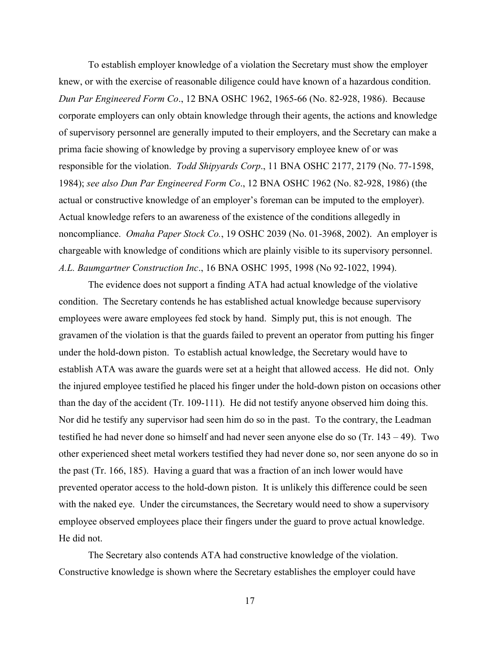To establish employer knowledge of a violation the Secretary must show the employer knew, or with the exercise of reasonable diligence could have known of a hazardous condition. *Dun Par Engineered Form Co*., 12 BNA OSHC 1962, 1965-66 (No. 82-928, 1986). Because corporate employers can only obtain knowledge through their agents, the actions and knowledge of supervisory personnel are generally imputed to their employers, and the Secretary can make a prima facie showing of knowledge by proving a supervisory employee knew of or was responsible for the violation. *Todd Shipyards Corp*., 11 BNA OSHC 2177, 2179 (No. 77-1598, 1984); *see also Dun Par Engineered Form Co*., 12 BNA OSHC 1962 (No. 82-928, 1986) (the actual or constructive knowledge of an employer's foreman can be imputed to the employer). Actual knowledge refers to an awareness of the existence of the conditions allegedly in noncompliance. *Omaha Paper Stock Co.*, 19 OSHC 2039 (No. 01-3968, 2002). An employer is chargeable with knowledge of conditions which are plainly visible to its supervisory personnel. *A.L. Baumgartner Construction Inc*., 16 BNA OSHC 1995, 1998 (No 92-1022, 1994).

 The evidence does not support a finding ATA had actual knowledge of the violative condition. The Secretary contends he has established actual knowledge because supervisory employees were aware employees fed stock by hand. Simply put, this is not enough. The gravamen of the violation is that the guards failed to prevent an operator from putting his finger under the hold-down piston. To establish actual knowledge, the Secretary would have to establish ATA was aware the guards were set at a height that allowed access. He did not. Only the injured employee testified he placed his finger under the hold-down piston on occasions other than the day of the accident (Tr. 109-111). He did not testify anyone observed him doing this. Nor did he testify any supervisor had seen him do so in the past. To the contrary, the Leadman testified he had never done so himself and had never seen anyone else do so (Tr. 143 – 49). Two other experienced sheet metal workers testified they had never done so, nor seen anyone do so in the past (Tr. 166, 185). Having a guard that was a fraction of an inch lower would have prevented operator access to the hold-down piston. It is unlikely this difference could be seen with the naked eye. Under the circumstances, the Secretary would need to show a supervisory employee observed employees place their fingers under the guard to prove actual knowledge. He did not.

 The Secretary also contends ATA had constructive knowledge of the violation. Constructive knowledge is shown where the Secretary establishes the employer could have

17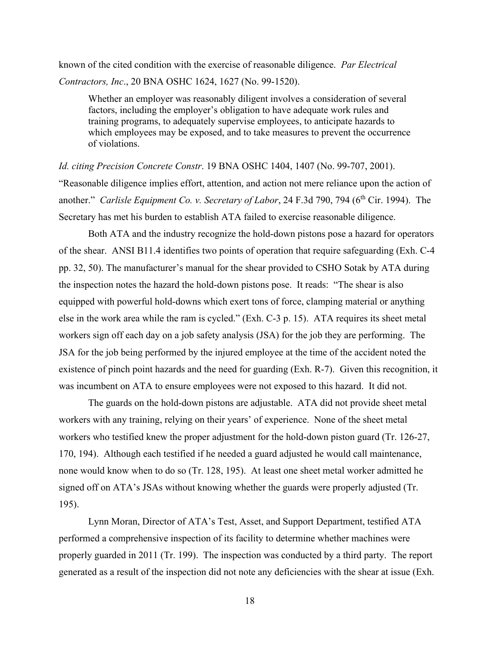known of the cited condition with the exercise of reasonable diligence. *Par Electrical Contractors, Inc*., 20 BNA OSHC 1624, 1627 (No. 99-1520).

Whether an employer was reasonably diligent involves a consideration of several factors, including the employer's obligation to have adequate work rules and training programs, to adequately supervise employees, to anticipate hazards to which employees may be exposed, and to take measures to prevent the occurrence of violations.

*Id. citing Precision Concrete Constr*. 19 BNA OSHC 1404, 1407 (No. 99-707, 2001). "Reasonable diligence implies effort, attention, and action not mere reliance upon the action of another." *Carlisle Equipment Co. v. Secretary of Labor*, 24 F.3d 790, 794 (6<sup>th</sup> Cir. 1994). The Secretary has met his burden to establish ATA failed to exercise reasonable diligence.

 Both ATA and the industry recognize the hold-down pistons pose a hazard for operators of the shear. ANSI B11.4 identifies two points of operation that require safeguarding (Exh. C-4 pp. 32, 50). The manufacturer's manual for the shear provided to CSHO Sotak by ATA during the inspection notes the hazard the hold-down pistons pose. It reads: "The shear is also equipped with powerful hold-downs which exert tons of force, clamping material or anything else in the work area while the ram is cycled." (Exh. C-3 p. 15). ATA requires its sheet metal workers sign off each day on a job safety analysis (JSA) for the job they are performing. The JSA for the job being performed by the injured employee at the time of the accident noted the existence of pinch point hazards and the need for guarding (Exh. R-7). Given this recognition, it was incumbent on ATA to ensure employees were not exposed to this hazard. It did not.

The guards on the hold-down pistons are adjustable. ATA did not provide sheet metal workers with any training, relying on their years' of experience. None of the sheet metal workers who testified knew the proper adjustment for the hold-down piston guard (Tr. 126-27, 170, 194). Although each testified if he needed a guard adjusted he would call maintenance, none would know when to do so (Tr. 128, 195). At least one sheet metal worker admitted he signed off on ATA's JSAs without knowing whether the guards were properly adjusted (Tr. 195).

 Lynn Moran, Director of ATA's Test, Asset, and Support Department, testified ATA performed a comprehensive inspection of its facility to determine whether machines were properly guarded in 2011 (Tr. 199). The inspection was conducted by a third party. The report generated as a result of the inspection did not note any deficiencies with the shear at issue (Exh.

18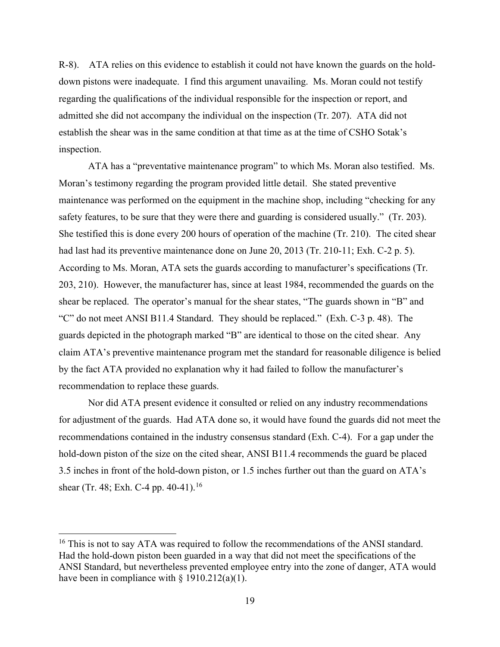R-8). ATA relies on this evidence to establish it could not have known the guards on the holddown pistons were inadequate. I find this argument unavailing. Ms. Moran could not testify regarding the qualifications of the individual responsible for the inspection or report, and admitted she did not accompany the individual on the inspection (Tr. 207). ATA did not establish the shear was in the same condition at that time as at the time of CSHO Sotak's inspection.

ATA has a "preventative maintenance program" to which Ms. Moran also testified. Ms. Moran's testimony regarding the program provided little detail. She stated preventive maintenance was performed on the equipment in the machine shop, including "checking for any safety features, to be sure that they were there and guarding is considered usually." (Tr. 203). She testified this is done every 200 hours of operation of the machine (Tr. 210). The cited shear had last had its preventive maintenance done on June 20, 2013 (Tr. 210-11; Exh. C-2 p. 5). According to Ms. Moran, ATA sets the guards according to manufacturer's specifications (Tr. 203, 210). However, the manufacturer has, since at least 1984, recommended the guards on the shear be replaced. The operator's manual for the shear states, "The guards shown in "B" and "C" do not meet ANSI B11.4 Standard. They should be replaced." (Exh. C-3 p. 48). The guards depicted in the photograph marked "B" are identical to those on the cited shear. Any claim ATA's preventive maintenance program met the standard for reasonable diligence is belied by the fact ATA provided no explanation why it had failed to follow the manufacturer's recommendation to replace these guards.

 Nor did ATA present evidence it consulted or relied on any industry recommendations for adjustment of the guards. Had ATA done so, it would have found the guards did not meet the recommendations contained in the industry consensus standard (Exh. C-4). For a gap under the hold-down piston of the size on the cited shear, ANSI B11.4 recommends the guard be placed 3.5 inches in front of the hold-down piston, or 1.5 inches further out than the guard on ATA's shear (Tr. 48; Exh. C-4 pp. 40-41).<sup>[16](#page-18-0)</sup>

<span id="page-18-0"></span> $16$  This is not to say ATA was required to follow the recommendations of the ANSI standard. Had the hold-down piston been guarded in a way that did not meet the specifications of the ANSI Standard, but nevertheless prevented employee entry into the zone of danger, ATA would have been in compliance with § 1910.212(a)(1).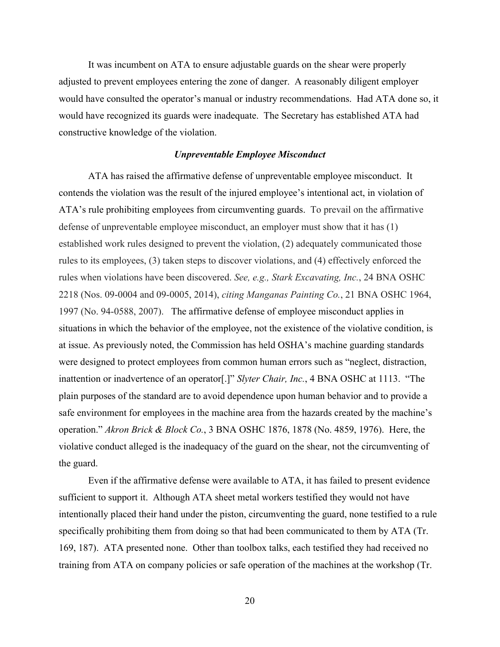It was incumbent on ATA to ensure adjustable guards on the shear were properly adjusted to prevent employees entering the zone of danger. A reasonably diligent employer would have consulted the operator's manual or industry recommendations. Had ATA done so, it would have recognized its guards were inadequate. The Secretary has established ATA had constructive knowledge of the violation.

#### *Unpreventable Employee Misconduct*

ATA has raised the affirmative defense of unpreventable employee misconduct. It contends the violation was the result of the injured employee's intentional act, in violation of ATA's rule prohibiting employees from circumventing guards. To prevail on the affirmative defense of unpreventable employee misconduct, an employer must show that it has (1) established work rules designed to prevent the violation, (2) adequately communicated those rules to its employees, (3) taken steps to discover violations, and (4) effectively enforced the rules when violations have been discovered. *See, e.g., Stark Excavating, Inc.*, 24 BNA OSHC 2218 (Nos. 09-0004 and 09-0005, 2014), *citing Manganas Painting Co.*, 21 BNA OSHC 1964, 1997 (No. 94-0588, 2007). The affirmative defense of employee misconduct applies in situations in which the behavior of the employee, not the existence of the violative condition, is at issue. As previously noted, the Commission has held OSHA's machine guarding standards were designed to protect employees from common human errors such as "neglect, distraction, inattention or inadvertence of an operator[.]" *Slyter Chair, Inc.*, 4 BNA OSHC at 1113. "The plain purposes of the standard are to avoid dependence upon human behavior and to provide a safe environment for employees in the machine area from the hazards created by the machine's operation." *Akron Brick & Block Co.*, 3 BNA OSHC 1876, 1878 (No. 4859, 1976). Here, the violative conduct alleged is the inadequacy of the guard on the shear, not the circumventing of the guard.

Even if the affirmative defense were available to ATA, it has failed to present evidence sufficient to support it. Although ATA sheet metal workers testified they would not have intentionally placed their hand under the piston, circumventing the guard, none testified to a rule specifically prohibiting them from doing so that had been communicated to them by ATA (Tr. 169, 187). ATA presented none. Other than toolbox talks, each testified they had received no training from ATA on company policies or safe operation of the machines at the workshop (Tr.

20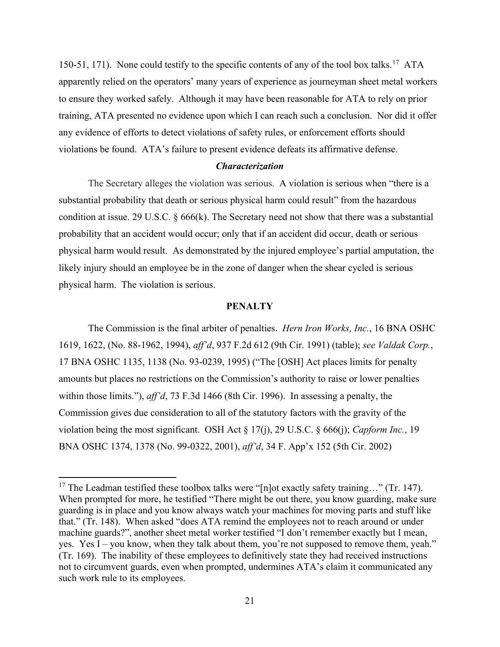150-51, 171). None could testify to the specific contents of any of the tool box talks.<sup>17</sup> ATA apparently relied on the operators' many years of experience as journeyman sheet metal workers to ensure they worked safely. Although it may have been reasonable for ATA to rely on prior training, ATA presented no evidence upon which I can reach such a conclusion. Nor did it offer any evidence of efforts to detect violations of safety rules, or enforcement efforts should violations be found. ATA's failure to present evidence defeats its affirmative defense.

#### *Characterization*

The Secretary alleges the violation was serious. A violation is serious when "there is a substantial probability that death or serious physical harm could result" from the hazardous condition at issue. [29 U.S.C. § 666\(k\).](https://a.next.westlaw.com/Link/Document/FullText?findType=L&pubNum=1000546&cite=29USCAS666&originatingDoc=I506d03ad178f11e2b60bb297d3d07bc5&refType=RB&originationContext=document&transitionType=DocumentItem&contextData=(sc.Search)#co_pp_340a00009b6f3) The Secretary need not show that there was a substantial probability that an accident would occur; only that if an accident did occur, death or serious physical harm would result. As demonstrated by the injured employee's partial amputation, the likely injury should an employee be in the zone of danger when the shear cycled is serious physical harm. The violation is serious.

## **PENALTY**

The Commission is the final arbiter of penalties. *Hern Iron Works, Inc.*, 16 BNA OSHC 1619, 1622, (No. 88-1962, 1994), *aff'd*, 937 F.2d 612 (9th Cir. 1991) (table); *see Valdak Corp.*, 17 BNA OSHC 1135, 1138 (No. 93-0239, 1995) ("The [OSH] Act places limits for penalty amounts but places no restrictions on the Commission's authority to raise or lower penalties within those limits."), *aff'd*, 73 F.3d 1466 (8th Cir. 1996). In assessing a penalty, the Commission gives due consideration to all of the statutory factors with the gravity of the violation being the most significant. OSH Act § 17(j), 29 U.S.C. § 666(j); *Capform Inc.*, 19 BNA OSHC 1374, 1378 (No. 99-0322, 2001), *aff'd*, 34 F. App'x 152 (5th Cir. 2002)

<span id="page-20-0"></span><sup>&</sup>lt;sup>17</sup> The Leadman testified these toolbox talks were "[n]ot exactly safety training..." (Tr. 147). When prompted for more, he testified "There might be out there, you know guarding, make sure guarding is in place and you know always watch your machines for moving parts and stuff like that." (Tr. 148). When asked "does ATA remind the employees not to reach around or under machine guards?", another sheet metal worker testified "I don't remember exactly but I mean, yes. Yes I – you know, when they talk about them, you're not supposed to remove them, yeah." (Tr. 169). The inability of these employees to definitively state they had received instructions not to circumvent guards, even when prompted, undermines ATA's claim it communicated any such work rule to its employees.